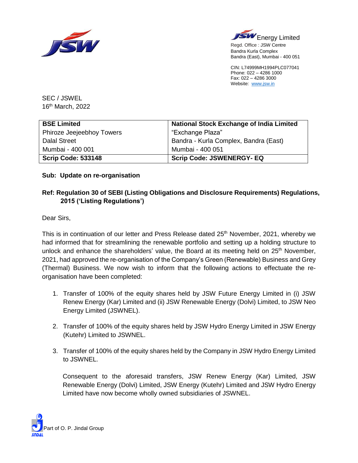



Bandra (East), Mumbai - 400 051 CIN: L74999MH1994PLC077041

Phone: 022 – 4286 1000 Fax: 022 – 4286 3000 Website: [www.jsw.in](http://www.jsw.in/)

SEC / JSWEL 16 th March, 2022

| <b>BSE Limited</b>        | <b>National Stock Exchange of India Limited</b> |
|---------------------------|-------------------------------------------------|
| Phiroze Jeejeebhoy Towers | "Exchange Plaza"                                |
| <b>Dalal Street</b>       | Bandra - Kurla Complex, Bandra (East)           |
| Mumbai - 400 001          | Mumbai - 400 051                                |
| <b>Scrip Code: 533148</b> | <b>Scrip Code: JSWENERGY- EQ</b>                |

## **Sub: Update on re-organisation**

## **Ref: Regulation 30 of SEBI (Listing Obligations and Disclosure Requirements) Regulations, 2015 ('Listing Regulations')**

Dear Sirs,

This is in continuation of our letter and Press Release dated 25<sup>th</sup> November, 2021, whereby we had informed that for streamlining the renewable portfolio and setting up a holding structure to unlock and enhance the shareholders' value, the Board at its meeting held on 25<sup>th</sup> November, 2021, had approved the re-organisation of the Company's Green (Renewable) Business and Grey (Thermal) Business. We now wish to inform that the following actions to effectuate the reorganisation have been completed:

- 1. Transfer of 100% of the equity shares held by JSW Future Energy Limited in (i) JSW Renew Energy (Kar) Limited and (ii) JSW Renewable Energy (Dolvi) Limited, to JSW Neo Energy Limited (JSWNEL).
- 2. Transfer of 100% of the equity shares held by JSW Hydro Energy Limited in JSW Energy (Kutehr) Limited to JSWNEL.
- 3. Transfer of 100% of the equity shares held by the Company in JSW Hydro Energy Limited to JSWNEL.

Consequent to the aforesaid transfers, JSW Renew Energy (Kar) Limited, JSW Renewable Energy (Dolvi) Limited, JSW Energy (Kutehr) Limited and JSW Hydro Energy Limited have now become wholly owned subsidiaries of JSWNEL.

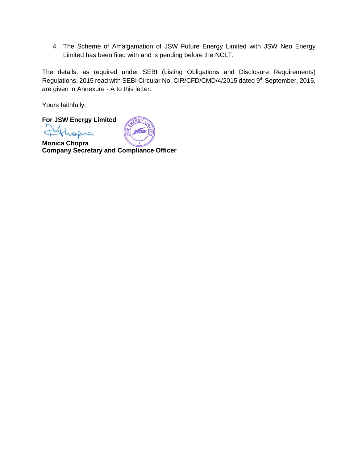4. The Scheme of Amalgamation of JSW Future Energy Limited with JSW Neo Energy Limited has been filed with and is pending before the NCLT.

The details, as required under SEBI (Listing Obligations and Disclosure Requirements) Regulations, 2015 read with SEBI Circular No. CIR/CFD/CMD/4/2015 dated 9<sup>th</sup> September, 2015, are given in Annexure - A to this letter.

Yours faithfully,

**For JSW Energy Limited** 

 $\overline{C}$ ahre



**Monica Chopra Company Secretary and Compliance Officer**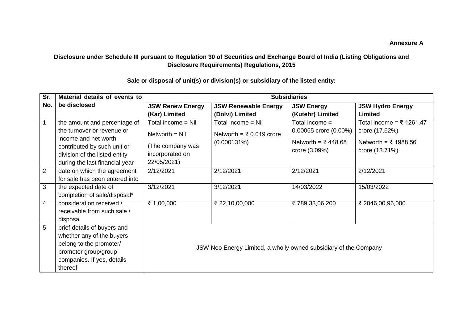## **Disclosure under Schedule III pursuant to Regulation 30 of Securities and Exchange Board of India (Listing Obligations and Disclosure Requirements) Regulations, 2015**

| Sr.            | Material details of events to                                                                                                                                                        | <b>Subsidiaries</b>                                                                         |                                                                  |                                                                                  |                                                                                                   |  |
|----------------|--------------------------------------------------------------------------------------------------------------------------------------------------------------------------------------|---------------------------------------------------------------------------------------------|------------------------------------------------------------------|----------------------------------------------------------------------------------|---------------------------------------------------------------------------------------------------|--|
| No.            | be disclosed                                                                                                                                                                         | <b>JSW Renew Energy</b>                                                                     | <b>JSW Renewable Energy</b>                                      | <b>JSW Energy</b>                                                                | <b>JSW Hydro Energy</b>                                                                           |  |
|                |                                                                                                                                                                                      | (Kar) Limited                                                                               | (Dolvi) Limited                                                  | (Kutehr) Limited                                                                 | Limited                                                                                           |  |
| 1              | the amount and percentage of<br>the turnover or revenue or<br>income and net worth<br>contributed by such unit or<br>division of the listed entity<br>during the last financial year | Total income = Nil<br>$Network = Nil$<br>(The company was<br>incorporated on<br>22/05/2021) | Total income = Nil<br>Networth = ₹ 0.019 crore<br>$(0.000131\%)$ | Total income $=$<br>0.00065 crore (0.00%)<br>Networth = ₹448.68<br>crore (3.09%) | Total income = $\overline{5}$ 1261.47<br>crore (17.62%)<br>Networth = ₹ 1988.56<br>crore (13.71%) |  |
| $\overline{2}$ | date on which the agreement<br>for sale has been entered into                                                                                                                        | 2/12/2021                                                                                   | 2/12/2021                                                        | 2/12/2021                                                                        | 2/12/2021                                                                                         |  |
| 3              | the expected date of<br>completion of sale/disposal*                                                                                                                                 | 3/12/2021                                                                                   | 3/12/2021                                                        | 14/03/2022                                                                       | 15/03/2022                                                                                        |  |
| 4              | consideration received /<br>receivable from such sale /<br>disposal                                                                                                                  | ₹ 1,00,000                                                                                  | ₹ 22,10,00,000                                                   | ₹789,33,06,200                                                                   | ₹ 2046,00,96,000                                                                                  |  |
| 5              | brief details of buyers and<br>whether any of the buyers<br>belong to the promoter/<br>promoter group/group<br>companies. If yes, details<br>thereof                                 | JSW Neo Energy Limited, a wholly owned subsidiary of the Company                            |                                                                  |                                                                                  |                                                                                                   |  |

## **Sale or disposal of unit(s) or division(s) or subsidiary of the listed entity:**

**Annexure A**